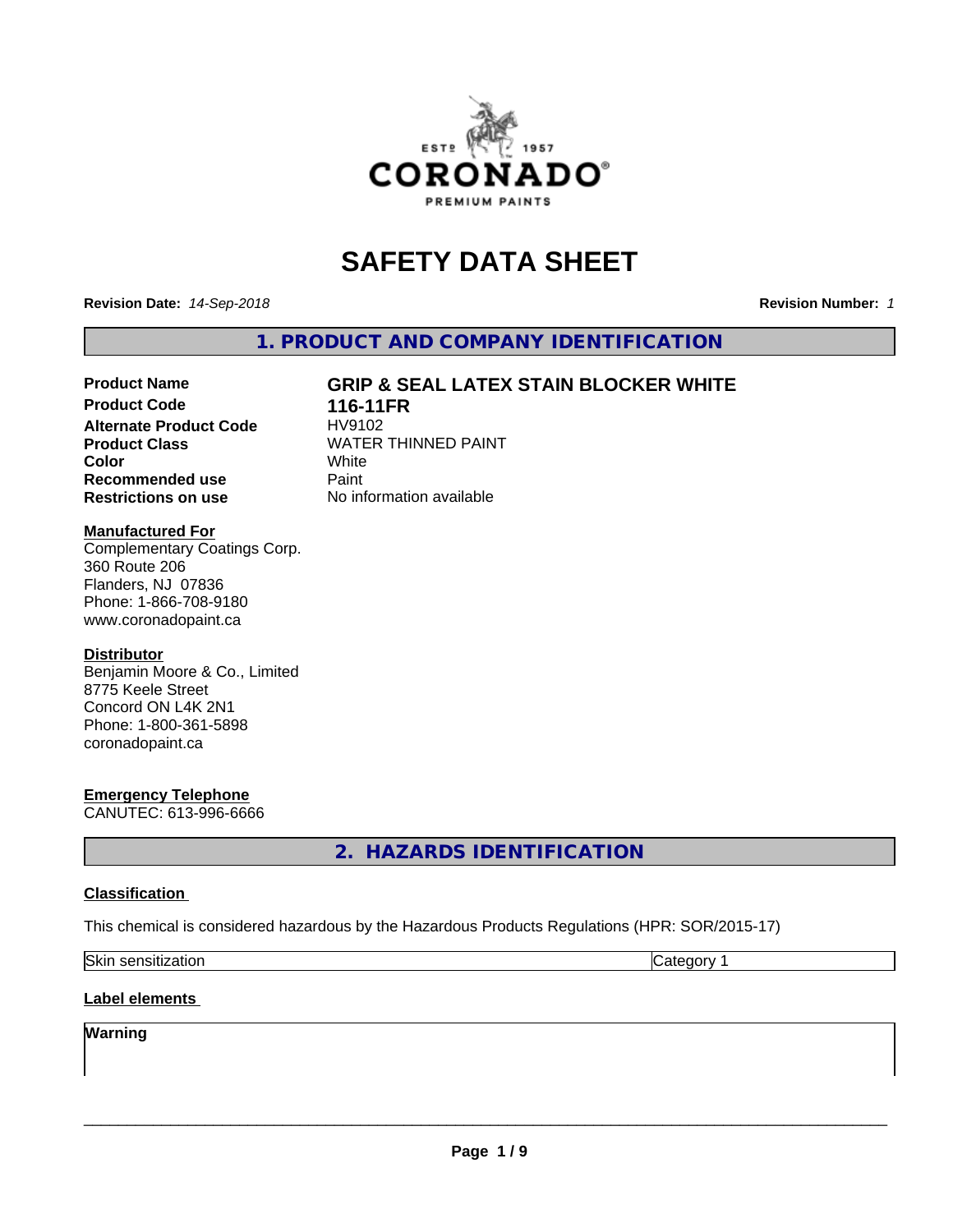

# **SAFETY DATA SHEET**

**Revision Date:** *14-Sep-2018* **Revision Number:** *1*

**1. PRODUCT AND COMPANY IDENTIFICATION**

# **Product Name GRIP & SEAL LATEX STAIN BLOCKER WHITE**

**Product Code 116-11FR**<br>Alternate Product Code HV9102 **Alternate Product Code Recommended use** Paint **Restrictions on use** No information available

**Product Class** WATER THINNED PAINT<br>
Color **Color** White White

#### **Manufactured For**

Complementary Coatings Corp. 360 Route 206 Flanders, NJ 07836 Phone: 1-866-708-9180 www.coronadopaint.ca

#### **Distributor**

Benjamin Moore & Co., Limited 8775 Keele Street Concord ON L4K 2N1 Phone: 1-800-361-5898 coronadopaint.ca

### **Emergency Telephone**

CANUTEC: 613-996-6666

**2. HAZARDS IDENTIFICATION**

#### **Classification**

This chemical is considered hazardous by the Hazardous Products Regulations (HPR: SOR/2015-17)

| <b>Skin</b><br>sensitization | . .<br>.<br>:aor |
|------------------------------|------------------|
|------------------------------|------------------|

#### **Label elements**

# **Warning**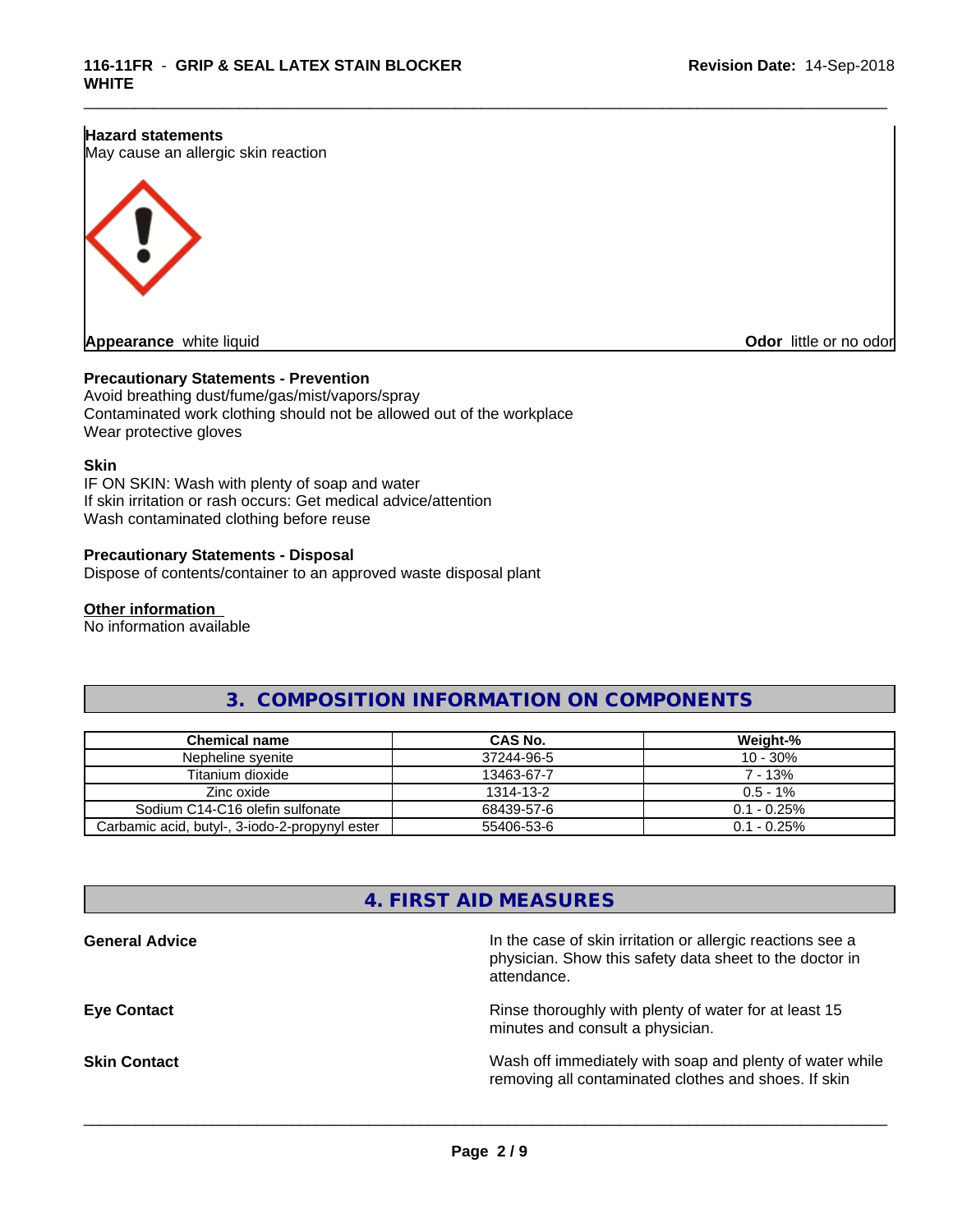#### **Hazard statements**

May cause an allergic skin reaction



**Appearance** white liquid **CODOR CONS CODOR CODOR CODOR CODOR CODOR CODOR CODOR CODOR CODOR CODOR CODOR CODOR CODOR CODOR CODOR CODOR CODOR CODOR CODOR CODOR CODOR CODOR CODO** 

#### **Precautionary Statements - Prevention**

Avoid breathing dust/fume/gas/mist/vapors/spray Contaminated work clothing should not be allowed out of the workplace Wear protective gloves

#### **Skin**

IF ON SKIN: Wash with plenty of soap and water If skin irritation or rash occurs: Get medical advice/attention Wash contaminated clothing before reuse

#### **Precautionary Statements - Disposal**

Dispose of contents/container to an approved waste disposal plant

#### **Other information**

No information available

# **3. COMPOSITION INFORMATION ON COMPONENTS**

\_\_\_\_\_\_\_\_\_\_\_\_\_\_\_\_\_\_\_\_\_\_\_\_\_\_\_\_\_\_\_\_\_\_\_\_\_\_\_\_\_\_\_\_\_\_\_\_\_\_\_\_\_\_\_\_\_\_\_\_\_\_\_\_\_\_\_\_\_\_\_\_\_\_\_\_\_\_\_\_\_\_\_\_\_\_\_\_\_\_\_\_\_

| Chemical name                                  | CAS No.    | Weight-%       |
|------------------------------------------------|------------|----------------|
| Nepheline svenite                              | 37244-96-5 | $10 - 30%$     |
| Titanium dioxide                               | 13463-67-7 | 7 - 13%        |
| Zinc oxide                                     | 1314-13-2  | $0.5 - 1\%$    |
| Sodium C14-C16 olefin sulfonate                | 68439-57-6 | $0.1 - 0.25\%$ |
| Carbamic acid, butyl-, 3-iodo-2-propynyl ester | 55406-53-6 | $0.1 - 0.25\%$ |

# **4. FIRST AID MEASURES**

| In the case of skin irritation or allergic reactions see a<br>physician. Show this safety data sheet to the doctor in<br>attendance. |
|--------------------------------------------------------------------------------------------------------------------------------------|
| Rinse thoroughly with plenty of water for at least 15<br>minutes and consult a physician.                                            |
| Wash off immediately with soap and plenty of water while<br>removing all contaminated clothes and shoes. If skin                     |
|                                                                                                                                      |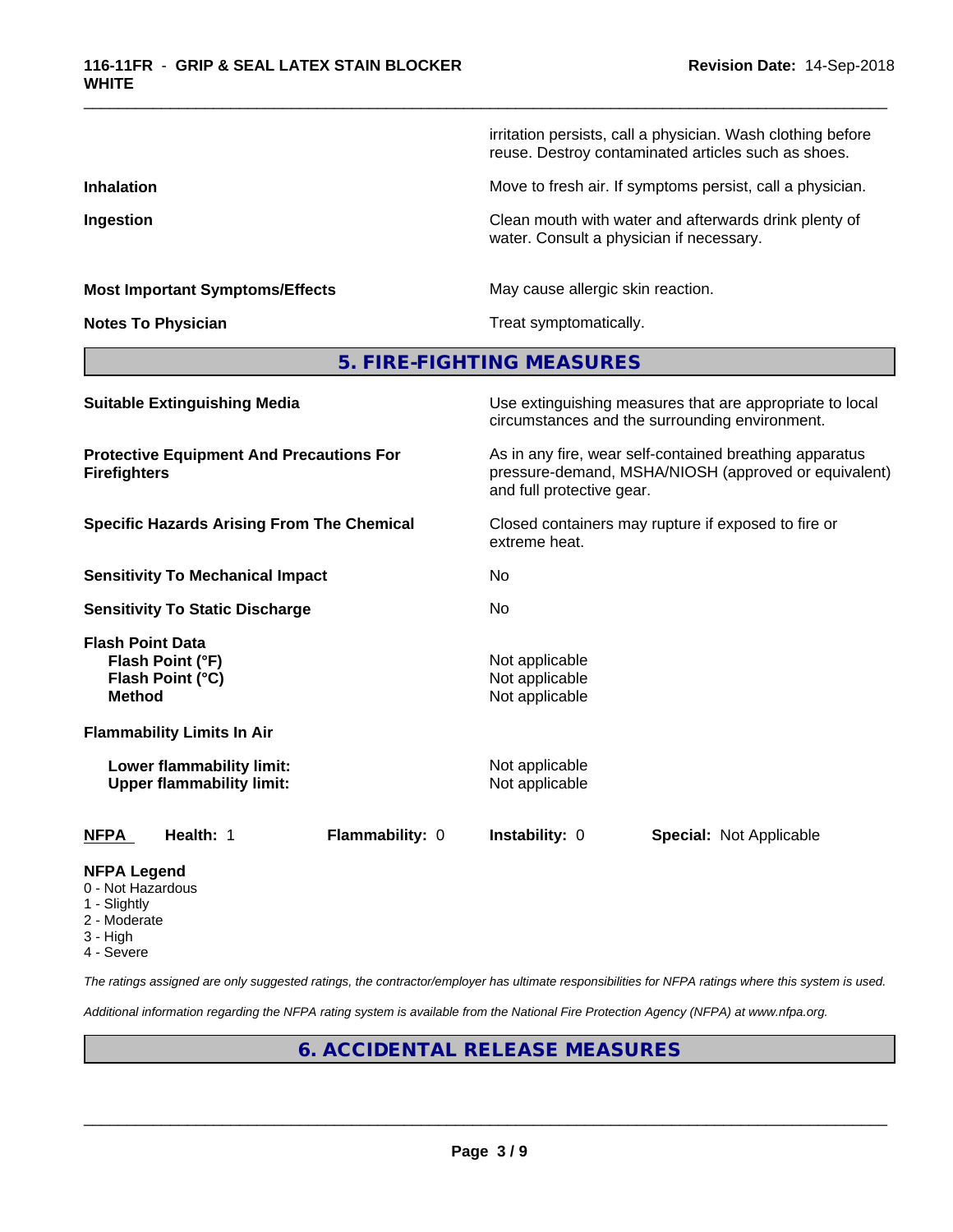irritation persists, call a physician. Wash clothing before reuse. Destroy contaminated articles such as shoes. **Inhalation** Move to fresh air. If symptoms persist, call a physician. **Ingestion Ingestion Clean mouth with water and afterwards drink plenty of** water. Consult a physician if necessary. **Most Important Symptoms/Effects** May cause allergic skin reaction. **Notes To Physician Treat symptomatically. 5. FIRE-FIGHTING MEASURES Suitable Extinguishing Media** Media Use extinguishing measures that are appropriate to local circumstances and the surrounding environment. **Protective Equipment And Precautions For Firefighters** As in any fire, wear self-contained breathing apparatus pressure-demand, MSHA/NIOSH (approved or equivalent) and full protective gear. **Specific Hazards Arising From The Chemical Closed containers may rupture if exposed to fire or** extreme heat. **Sensitivity To Mechanical Impact** No **Sensitivity To Static Discharge** No **Flash Point Data Flash Point (°F)** Not applicable **Flash Point (°C)** Not applicable **Method** Not applicable **Flammability Limits In Air Lower flammability limit:** Not applicable **Upper flammability limit:** Not applicable **NFPA Health:** 1 **Flammability:** 0 **Instability:** 0 **Special:** Not Applicable

\_\_\_\_\_\_\_\_\_\_\_\_\_\_\_\_\_\_\_\_\_\_\_\_\_\_\_\_\_\_\_\_\_\_\_\_\_\_\_\_\_\_\_\_\_\_\_\_\_\_\_\_\_\_\_\_\_\_\_\_\_\_\_\_\_\_\_\_\_\_\_\_\_\_\_\_\_\_\_\_\_\_\_\_\_\_\_\_\_\_\_\_\_

- **NFPA Legend**
- 0 Not Hazardous
- 1 Slightly
- 2 Moderate
- 3 High
- 4 Severe

*The ratings assigned are only suggested ratings, the contractor/employer has ultimate responsibilities for NFPA ratings where this system is used.*

*Additional information regarding the NFPA rating system is available from the National Fire Protection Agency (NFPA) at www.nfpa.org.*

# **6. ACCIDENTAL RELEASE MEASURES**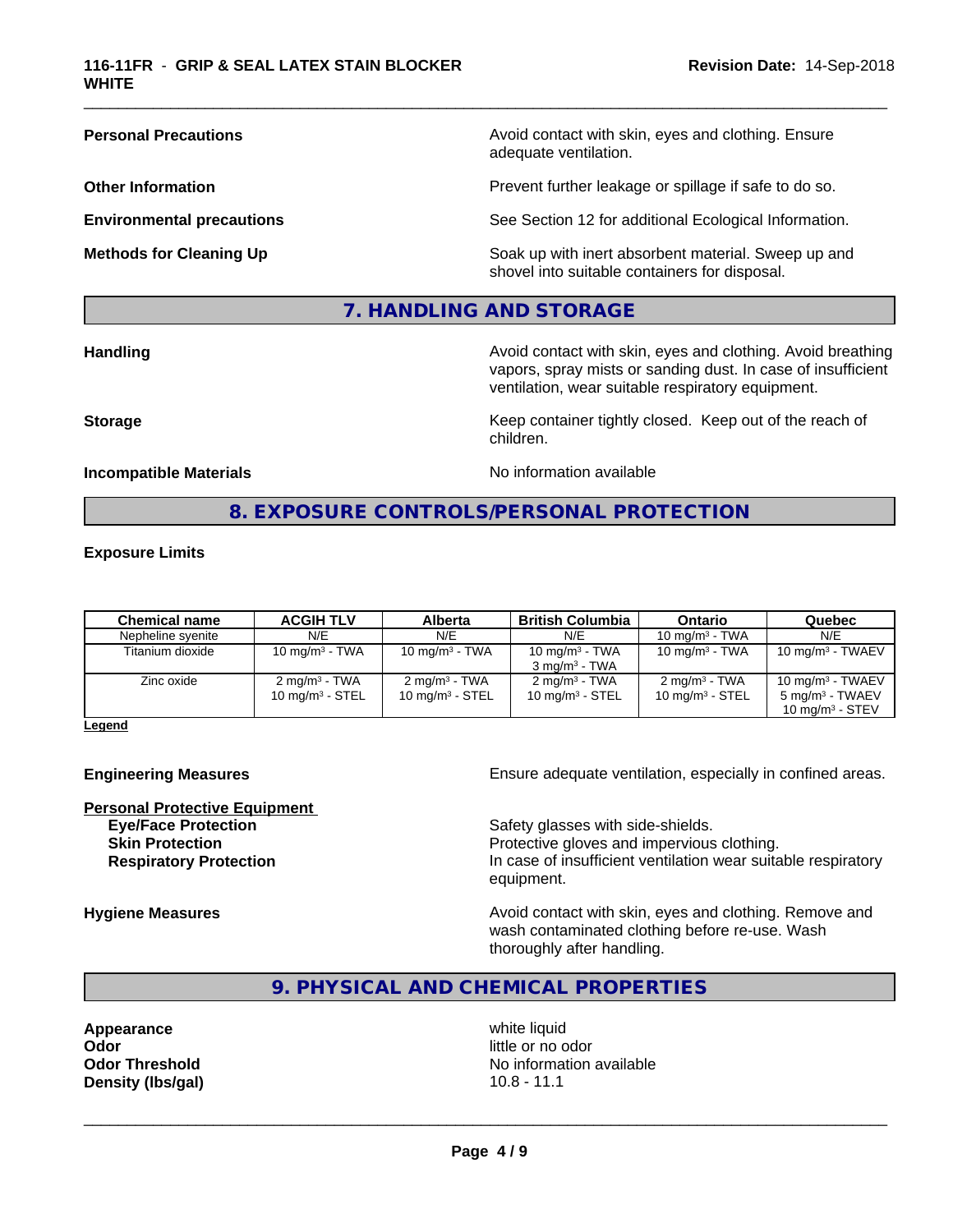**Personal Precautions Avoid contact with skin, eyes and clothing. Ensure** Avoid contact with skin, eyes and clothing. Ensure adequate ventilation.

**Other Information Discription Prevent further leakage or spillage if safe to do so.** 

**Environmental precautions** See Section 12 for additional Ecological Information.

**Methods for Cleaning Up Example 20 Soak** up with inert absorbent material. Sweep up and shovel into suitable containers for disposal.

# **7. HANDLING AND STORAGE**

**Handling Handling Avoid contact with skin, eyes and clothing. Avoid breathing Handling A** vapors, spray mists or sanding dust. In case of insufficient ventilation, wear suitable respiratory equipment.

**Storage Keep container tightly closed. Keep out of the reach of Keep Keep container tightly closed. Keep out of the reach of** 

**Incompatible Materials Incompatible Materials No information available** 

\_\_\_\_\_\_\_\_\_\_\_\_\_\_\_\_\_\_\_\_\_\_\_\_\_\_\_\_\_\_\_\_\_\_\_\_\_\_\_\_\_\_\_\_\_\_\_\_\_\_\_\_\_\_\_\_\_\_\_\_\_\_\_\_\_\_\_\_\_\_\_\_\_\_\_\_\_\_\_\_\_\_\_\_\_\_\_\_\_\_\_\_\_

#### **8. EXPOSURE CONTROLS/PERSONAL PROTECTION**

children.

#### **Exposure Limits**

| <b>Chemical name</b> | <b>ACGIH TLV</b>                               | Alberta                                        | <b>British Columbia</b>                                 | Ontario                                        | Quebec                                                                 |
|----------------------|------------------------------------------------|------------------------------------------------|---------------------------------------------------------|------------------------------------------------|------------------------------------------------------------------------|
| Nepheline syenite    | N/E                                            | N/E                                            | N/E                                                     | 10 mg/m $3$ - TWA                              | N/E                                                                    |
| Titanium dioxide     | 10 mg/m $3$ - TWA                              | 10 mg/m $3$ - TWA                              | 10 mg/m $3$ - TWA<br>$3 \text{ mg/m}^3$ - TWA           | 10 mg/m $3$ - TWA                              | 10 mg/m $3$ - TWAEV                                                    |
| Zinc oxide           | $2 \text{ mg/m}^3$ - TWA<br>10 $mq/m^3$ - STEL | $2 \text{ mg/m}^3$ - TWA<br>10 mg/m $3$ - STEL | $2 \text{ ma/m}^3$ - TWA<br>10 mg/m <sup>3</sup> - STEL | $2 \text{ ma/m}^3$ - TWA<br>10 mg/m $3$ - STEL | 10 mg/m $3$ - TWAEV<br>$5 \text{ mg/m}^3$ - TWAEV<br>10 $ma/m3$ - STEV |

**Legend**

**Personal Protective Equipment**<br> **Eve/Face Protection** 

**Engineering Measures Ensure** Ensure adequate ventilation, especially in confined areas.

Safety glasses with side-shields. **Skin Protection Protection Protective gloves and impervious clothing. Respiratory Protection In case of insufficient ventilation wear suitable respiratory** equipment.

**Hygiene Measures Avoid contact with skin, eyes and clothing. Remove and Avoid contact with skin, eyes and clothing. Remove and Avoid contact with skin, eyes and clothing. Remove and** wash contaminated clothing before re-use. Wash thoroughly after handling.

# **9. PHYSICAL AND CHEMICAL PROPERTIES**

**Appearance** white liquid **Odor** little or no odor **Density (lbs/gal)** 10.8 - 11.1

**Odor Threshold No information available**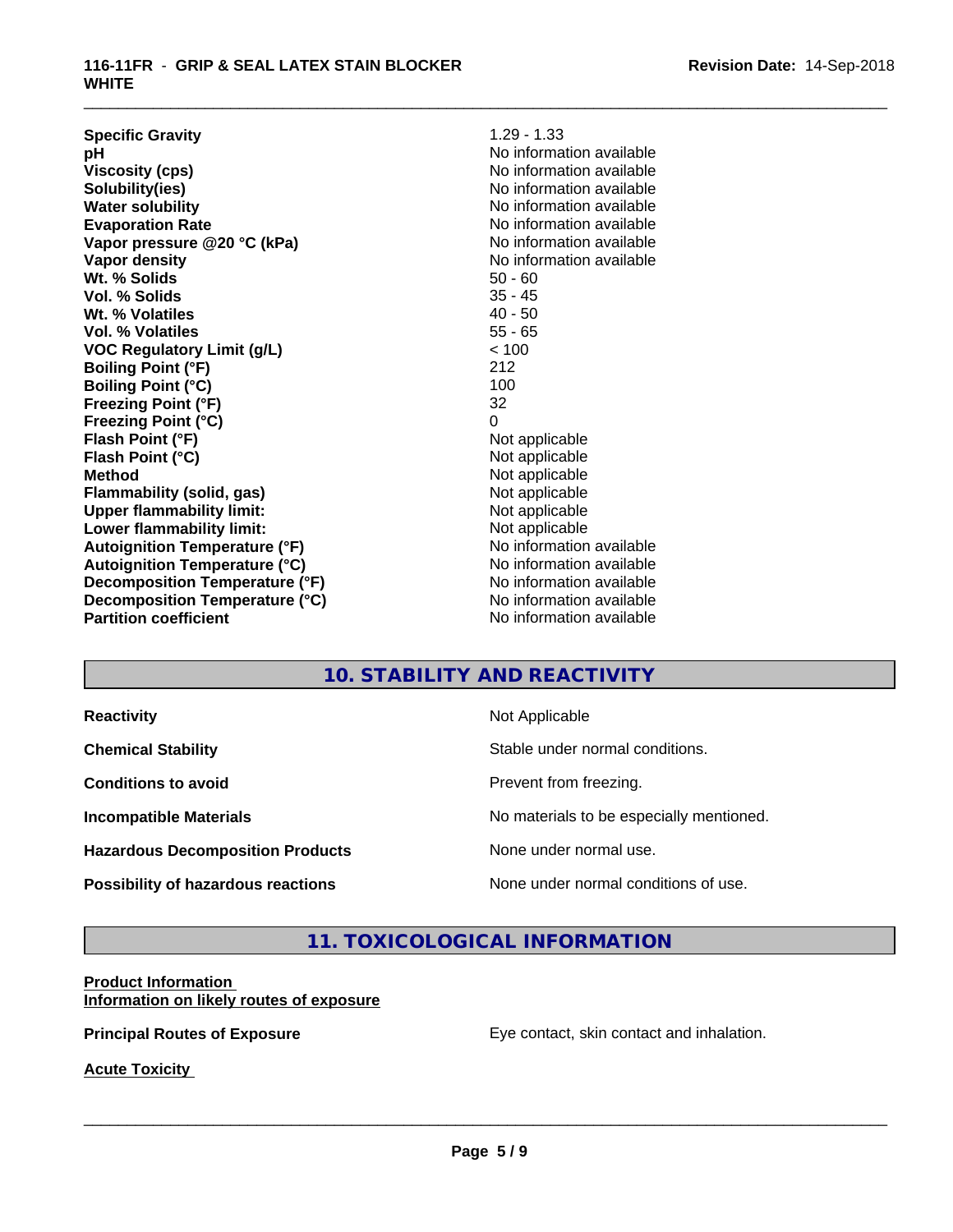#### **116-11FR** - **GRIP & SEAL LATEX STAIN BLOCKER WHITE**

| <b>Specific Gravity</b>                    | $1.29 - 1.33$            |
|--------------------------------------------|--------------------------|
| рH                                         | No information available |
| <b>Viscosity (cps)</b>                     | No information available |
| Solubility(ies)                            | No information available |
| <b>Water solubility</b>                    | No information available |
| <b>Evaporation Rate</b>                    | No information available |
| Vapor pressure @20 °C (kPa)                | No information available |
| Vapor density                              | No information available |
| Wt. % Solids<br>$50 - 60$                  |                          |
| Vol. % Solids<br>$35 - 45$                 |                          |
| $40 - 50$<br>Wt. % Volatiles               |                          |
| $55 - 65$<br>Vol. % Volatiles              |                          |
| < 100<br><b>VOC Regulatory Limit (g/L)</b> |                          |
| 212<br><b>Boiling Point (°F)</b>           |                          |
| <b>Boiling Point (°C)</b><br>100           |                          |
| 32<br><b>Freezing Point (°F)</b>           |                          |
| <b>Freezing Point (°C)</b><br>0            |                          |
| Flash Point (°F)                           | Not applicable           |
| Flash Point (°C)                           | Not applicable           |
| <b>Method</b>                              | Not applicable           |
| Flammability (solid, gas)                  | Not applicable           |
| <b>Upper flammability limit:</b>           | Not applicable           |
| Lower flammability limit:                  | Not applicable           |
| <b>Autoignition Temperature (°F)</b>       | No information available |
| <b>Autoignition Temperature (°C)</b>       | No information available |
| Decomposition Temperature (°F)             | No information available |
| Decomposition Temperature (°C)             | No information available |
| <b>Partition coefficient</b>               | No information available |

\_\_\_\_\_\_\_\_\_\_\_\_\_\_\_\_\_\_\_\_\_\_\_\_\_\_\_\_\_\_\_\_\_\_\_\_\_\_\_\_\_\_\_\_\_\_\_\_\_\_\_\_\_\_\_\_\_\_\_\_\_\_\_\_\_\_\_\_\_\_\_\_\_\_\_\_\_\_\_\_\_\_\_\_\_\_\_\_\_\_\_\_\_

# **10. STABILITY AND REACTIVITY**

**Hazardous Decomposition Products** None under normal use.

**Reactivity Not Applicable** 

**Chemical Stability Stable under normal conditions.** 

**Conditions to avoid Conditions to avoid Prevent from freezing.** 

**Incompatible Materials No materials** No materials to be especially mentioned.

 $\overline{\phantom{a}}$  ,  $\overline{\phantom{a}}$  ,  $\overline{\phantom{a}}$  ,  $\overline{\phantom{a}}$  ,  $\overline{\phantom{a}}$  ,  $\overline{\phantom{a}}$  ,  $\overline{\phantom{a}}$  ,  $\overline{\phantom{a}}$  ,  $\overline{\phantom{a}}$  ,  $\overline{\phantom{a}}$  ,  $\overline{\phantom{a}}$  ,  $\overline{\phantom{a}}$  ,  $\overline{\phantom{a}}$  ,  $\overline{\phantom{a}}$  ,  $\overline{\phantom{a}}$  ,  $\overline{\phantom{a}}$ 

**Possibility of hazardous reactions** None under normal conditions of use.

# **11. TOXICOLOGICAL INFORMATION**

#### **Product Information Information on likely routes of exposure**

**Principal Routes of Exposure Exposure** Eye contact, skin contact and inhalation.

**Acute Toxicity**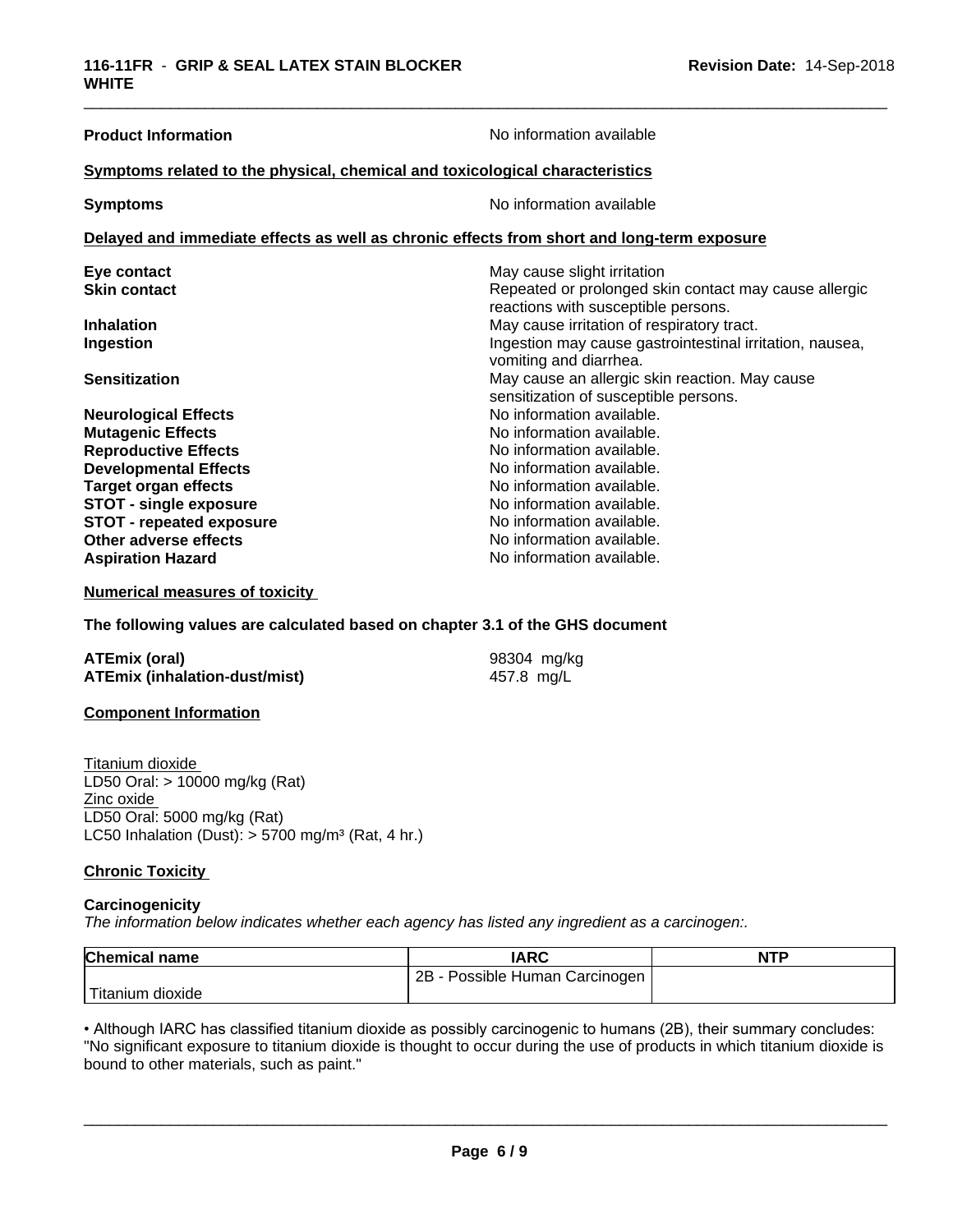| <b>Product Information</b>                                                                 | No information available                                                                     |  |  |
|--------------------------------------------------------------------------------------------|----------------------------------------------------------------------------------------------|--|--|
| Symptoms related to the physical, chemical and toxicological characteristics               |                                                                                              |  |  |
| <b>Symptoms</b>                                                                            | No information available                                                                     |  |  |
| Delayed and immediate effects as well as chronic effects from short and long-term exposure |                                                                                              |  |  |
| Eye contact                                                                                | May cause slight irritation                                                                  |  |  |
| <b>Skin contact</b>                                                                        | Repeated or prolonged skin contact may cause allergic<br>reactions with susceptible persons. |  |  |
| <b>Inhalation</b>                                                                          | May cause irritation of respiratory tract.                                                   |  |  |
| Ingestion                                                                                  | Ingestion may cause gastrointestinal irritation, nausea,<br>vomiting and diarrhea.           |  |  |
| <b>Sensitization</b>                                                                       | May cause an allergic skin reaction. May cause<br>sensitization of susceptible persons.      |  |  |
| <b>Neurological Effects</b>                                                                | No information available.                                                                    |  |  |
| <b>Mutagenic Effects</b>                                                                   | No information available.                                                                    |  |  |
| <b>Reproductive Effects</b>                                                                | No information available.                                                                    |  |  |
| <b>Developmental Effects</b>                                                               | No information available.                                                                    |  |  |
| <b>Target organ effects</b>                                                                | No information available.                                                                    |  |  |
| <b>STOT - single exposure</b>                                                              | No information available.                                                                    |  |  |
| <b>STOT - repeated exposure</b>                                                            | No information available.                                                                    |  |  |
| Other adverse effects                                                                      | No information available.                                                                    |  |  |
| <b>Aspiration Hazard</b>                                                                   | No information available.                                                                    |  |  |

\_\_\_\_\_\_\_\_\_\_\_\_\_\_\_\_\_\_\_\_\_\_\_\_\_\_\_\_\_\_\_\_\_\_\_\_\_\_\_\_\_\_\_\_\_\_\_\_\_\_\_\_\_\_\_\_\_\_\_\_\_\_\_\_\_\_\_\_\_\_\_\_\_\_\_\_\_\_\_\_\_\_\_\_\_\_\_\_\_\_\_\_\_

#### **Numerical measures of toxicity**

#### **The following values are calculated based on chapter 3.1 of the GHS document**

| <b>ATEmix (oral)</b>                 | 98304 mg/kg |
|--------------------------------------|-------------|
| <b>ATEmix (inhalation-dust/mist)</b> | 457.8 mg/L  |

#### **Component Information**

Titanium dioxide LD50 Oral: > 10000 mg/kg (Rat) Zinc oxide LD50 Oral: 5000 mg/kg (Rat) LC50 Inhalation (Dust):  $> 5700$  mg/m<sup>3</sup> (Rat, 4 hr.)

#### **Chronic Toxicity**

#### **Carcinogenicity**

*The information below indicateswhether each agency has listed any ingredient as a carcinogen:.*

| <b>Chemical name</b> | <b>IARC</b>                     | <b>NTP</b> |
|----------------------|---------------------------------|------------|
|                      | Possible Human Carcinogen<br>2Β |            |
| dioxide<br>Fitanium  |                                 |            |

• Although IARC has classified titanium dioxide as possibly carcinogenic to humans (2B), their summary concludes: "No significant exposure to titanium dioxide is thought to occur during the use of products in which titanium dioxide is bound to other materials, such as paint."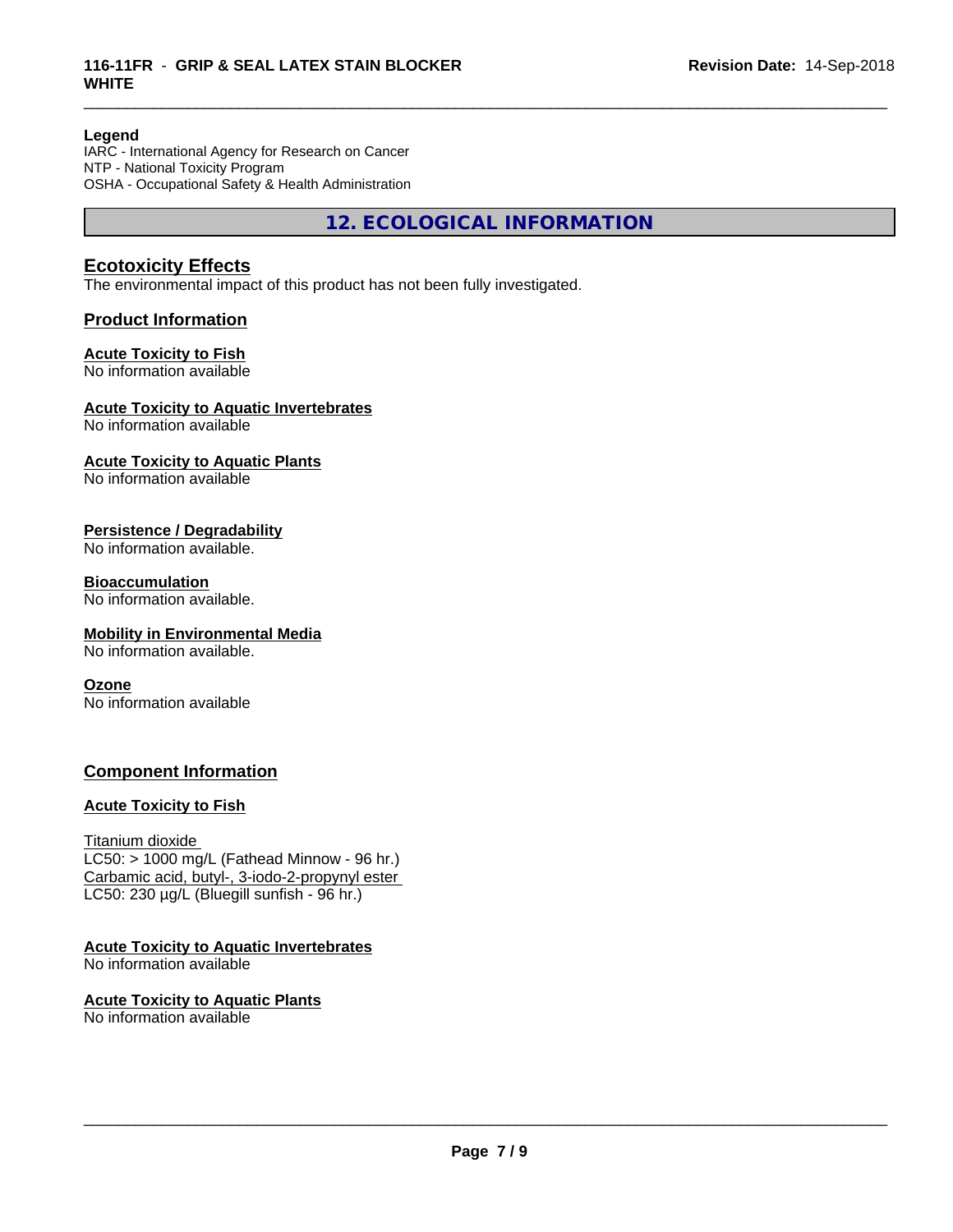#### **Legend**

IARC - International Agency for Research on Cancer NTP - National Toxicity Program OSHA - Occupational Safety & Health Administration

**12. ECOLOGICAL INFORMATION**

\_\_\_\_\_\_\_\_\_\_\_\_\_\_\_\_\_\_\_\_\_\_\_\_\_\_\_\_\_\_\_\_\_\_\_\_\_\_\_\_\_\_\_\_\_\_\_\_\_\_\_\_\_\_\_\_\_\_\_\_\_\_\_\_\_\_\_\_\_\_\_\_\_\_\_\_\_\_\_\_\_\_\_\_\_\_\_\_\_\_\_\_\_

# **Ecotoxicity Effects**

The environmental impact of this product has not been fully investigated.

### **Product Information**

#### **Acute Toxicity to Fish**

No information available

#### **Acute Toxicity to Aquatic Invertebrates**

No information available

### **Acute Toxicity to Aquatic Plants**

No information available

#### **Persistence / Degradability**

No information available.

#### **Bioaccumulation**

No information available.

#### **Mobility in Environmental Media**

No information available.

#### **Ozone**

No information available

### **Component Information**

### **Acute Toxicity to Fish**

#### Titanium dioxide

 $LC50:$  > 1000 mg/L (Fathead Minnow - 96 hr.) Carbamic acid, butyl-, 3-iodo-2-propynyl ester LC50: 230 µg/L (Bluegill sunfish - 96 hr.)

**Acute Toxicity to Aquatic Invertebrates** No information available

**Acute Toxicity to Aquatic Plants** No information available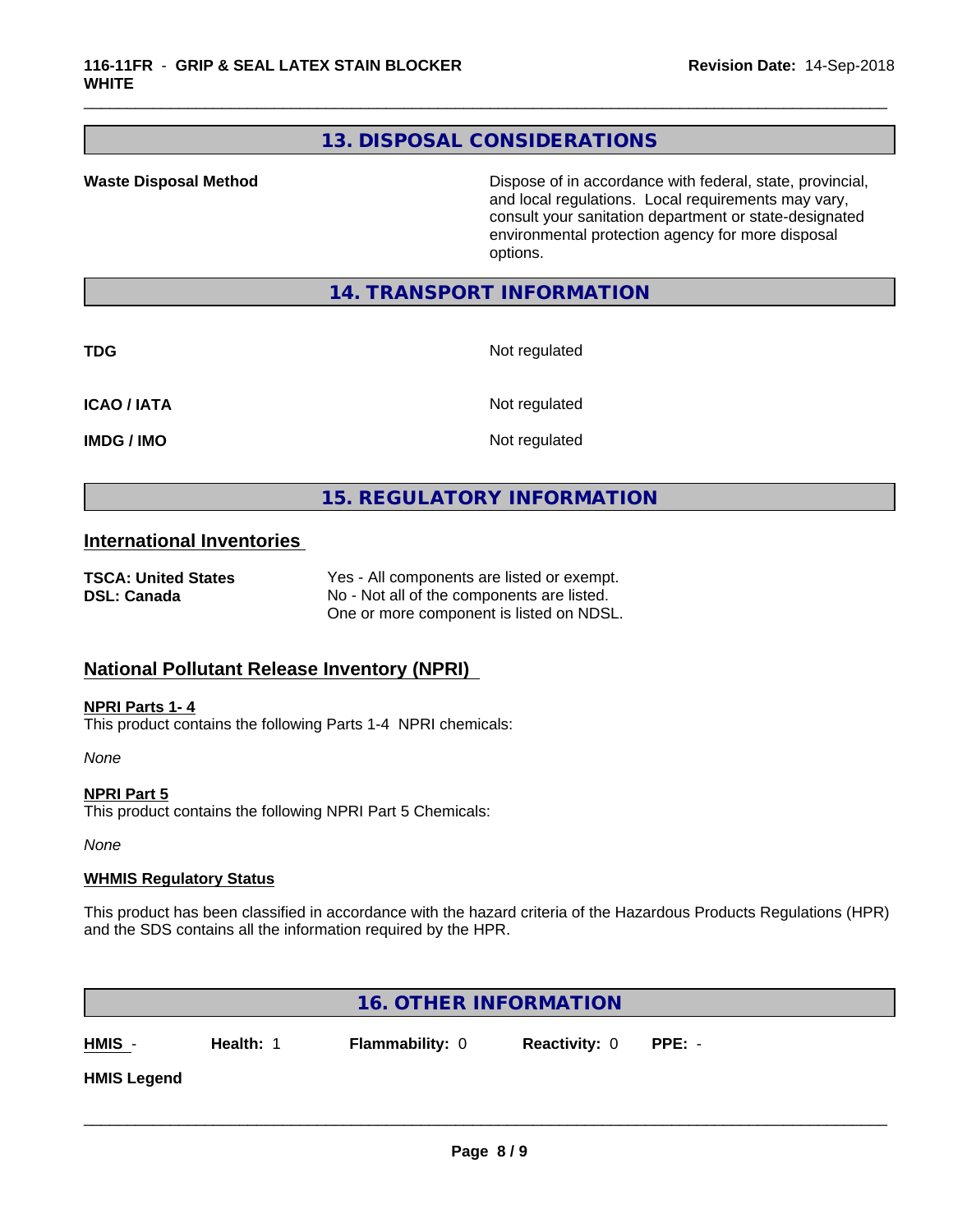# **13. DISPOSAL CONSIDERATIONS**

**Waste Disposal Method Dispose of in accordance with federal, state, provincial,** and local regulations. Local requirements may vary, consult your sanitation department or state-designated environmental protection agency for more disposal options.

# **14. TRANSPORT INFORMATION**

**TDG** Not regulated

\_\_\_\_\_\_\_\_\_\_\_\_\_\_\_\_\_\_\_\_\_\_\_\_\_\_\_\_\_\_\_\_\_\_\_\_\_\_\_\_\_\_\_\_\_\_\_\_\_\_\_\_\_\_\_\_\_\_\_\_\_\_\_\_\_\_\_\_\_\_\_\_\_\_\_\_\_\_\_\_\_\_\_\_\_\_\_\_\_\_\_\_\_

**ICAO / IATA** Not regulated

**IMDG / IMO** Not regulated

# **15. REGULATORY INFORMATION**

#### **International Inventories**

| <b>TSCA: United States</b> | Yes - All components are listed or exempt. |
|----------------------------|--------------------------------------------|
| <b>DSL: Canada</b>         | No - Not all of the components are listed. |
|                            | One or more component is listed on NDSL.   |

# **National Pollutant Release Inventory (NPRI)**

#### **NPRI Parts 1- 4**

This product contains the following Parts 1-4 NPRI chemicals:

*None*

**NPRI Part 5** This product contains the following NPRI Part 5 Chemicals:

*None*

#### **WHMIS Regulatory Status**

This product has been classified in accordance with the hazard criteria of the Hazardous Products Regulations (HPR) and the SDS contains all the information required by the HPR.